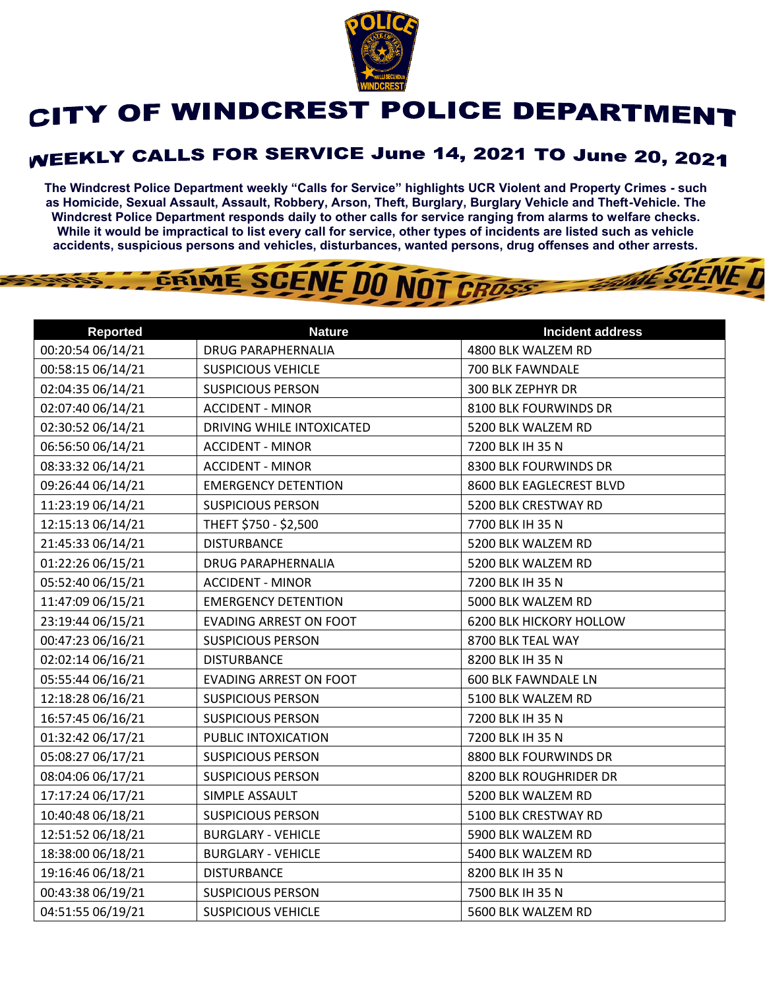

## CITY OF WINDCREST POLICE DEPARTMENT

## **WEEKLY CALLS FOR SERVICE June 14, 2021 TO June 20, 2021**

**The Windcrest Police Department weekly "Calls for Service" highlights UCR Violent and Property Crimes - such as Homicide, Sexual Assault, Assault, Robbery, Arson, Theft, Burglary, Burglary Vehicle and Theft-Vehicle. The Windcrest Police Department responds daily to other calls for service ranging from alarms to welfare checks. While it would be impractical to list every call for service, other types of incidents are listed such as vehicle accidents, suspicious persons and vehicles, disturbances, wanted persons, drug offenses and other arrests.** 

**THE SCENE D** 

## GRIME SCENE DO NOT CROSS

| <b>Reported</b>   | <b>Nature</b>                 | <b>Incident address</b>        |
|-------------------|-------------------------------|--------------------------------|
| 00:20:54 06/14/21 | <b>DRUG PARAPHERNALIA</b>     | 4800 BLK WALZEM RD             |
| 00:58:15 06/14/21 | <b>SUSPICIOUS VEHICLE</b>     | 700 BLK FAWNDALE               |
| 02:04:35 06/14/21 | <b>SUSPICIOUS PERSON</b>      | 300 BLK ZEPHYR DR              |
| 02:07:40 06/14/21 | <b>ACCIDENT - MINOR</b>       | 8100 BLK FOURWINDS DR          |
| 02:30:52 06/14/21 | DRIVING WHILE INTOXICATED     | 5200 BLK WALZEM RD             |
| 06:56:50 06/14/21 | <b>ACCIDENT - MINOR</b>       | 7200 BLK IH 35 N               |
| 08:33:32 06/14/21 | <b>ACCIDENT - MINOR</b>       | 8300 BLK FOURWINDS DR          |
| 09:26:44 06/14/21 | <b>EMERGENCY DETENTION</b>    | 8600 BLK EAGLECREST BLVD       |
| 11:23:19 06/14/21 | <b>SUSPICIOUS PERSON</b>      | 5200 BLK CRESTWAY RD           |
| 12:15:13 06/14/21 | THEFT \$750 - \$2,500         | 7700 BLK IH 35 N               |
| 21:45:33 06/14/21 | <b>DISTURBANCE</b>            | 5200 BLK WALZEM RD             |
| 01:22:26 06/15/21 | <b>DRUG PARAPHERNALIA</b>     | 5200 BLK WALZEM RD             |
| 05:52:40 06/15/21 | <b>ACCIDENT - MINOR</b>       | 7200 BLK IH 35 N               |
| 11:47:09 06/15/21 | <b>EMERGENCY DETENTION</b>    | 5000 BLK WALZEM RD             |
| 23:19:44 06/15/21 | <b>EVADING ARREST ON FOOT</b> | <b>6200 BLK HICKORY HOLLOW</b> |
| 00:47:23 06/16/21 | <b>SUSPICIOUS PERSON</b>      | 8700 BLK TEAL WAY              |
| 02:02:14 06/16/21 | <b>DISTURBANCE</b>            | 8200 BLK IH 35 N               |
| 05:55:44 06/16/21 | <b>EVADING ARREST ON FOOT</b> | <b>600 BLK FAWNDALE LN</b>     |
| 12:18:28 06/16/21 | <b>SUSPICIOUS PERSON</b>      | 5100 BLK WALZEM RD             |
| 16:57:45 06/16/21 | <b>SUSPICIOUS PERSON</b>      | 7200 BLK IH 35 N               |
| 01:32:42 06/17/21 | PUBLIC INTOXICATION           | 7200 BLK IH 35 N               |
| 05:08:27 06/17/21 | <b>SUSPICIOUS PERSON</b>      | 8800 BLK FOURWINDS DR          |
| 08:04:06 06/17/21 | <b>SUSPICIOUS PERSON</b>      | 8200 BLK ROUGHRIDER DR         |
| 17:17:24 06/17/21 | SIMPLE ASSAULT                | 5200 BLK WALZEM RD             |
| 10:40:48 06/18/21 | <b>SUSPICIOUS PERSON</b>      | 5100 BLK CRESTWAY RD           |
| 12:51:52 06/18/21 | <b>BURGLARY - VEHICLE</b>     | 5900 BLK WALZEM RD             |
| 18:38:00 06/18/21 | <b>BURGLARY - VEHICLE</b>     | 5400 BLK WALZEM RD             |
| 19:16:46 06/18/21 | <b>DISTURBANCE</b>            | 8200 BLK IH 35 N               |
| 00:43:38 06/19/21 | <b>SUSPICIOUS PERSON</b>      | 7500 BLK IH 35 N               |
| 04:51:55 06/19/21 | <b>SUSPICIOUS VEHICLE</b>     | 5600 BLK WALZEM RD             |